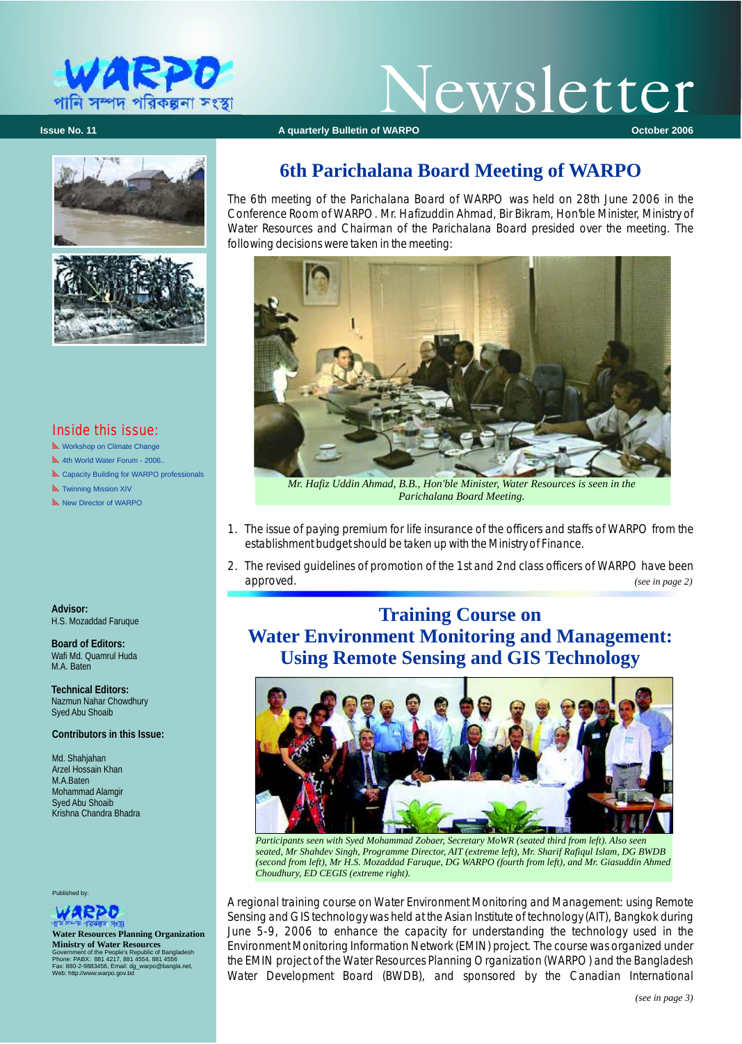

# Vewsletter

**Issue No. 11 Issue No. 11 Construction Construction Additional A quarterly Bulletin of WARPO <b>Construction Construction** Cotober 2006





#### Inside this issue:

N Workshop on Climate Change

- 1th World Water Forum 2006..
- **N** Capacity Building for WARPO professionals
- **N** Twinning Mission XIV
- New Director of WARPO

**Advisor:** H.S. Mozaddad Faruque

**Board of Editors:** Wafi Md. Quamrul Huda M.A. Baten

**Technical Editors:**  Nazmun Nahar Chowdhury Syed Abu Shoaib

**Contributors in this Issue:**

Md. Shahjahan Arzel Hossain Khan M.A.Baten Mohammad Alamgir Syed Abu Shoaib Krishna Chandra Bhadra

Published by:



**Water Resources Planning Organization Ministry of Water Resources**  Government of the People's Republic of Bangladesh<br>Phone: PABX: 881 4217, 881 4554, 881 4556<br>Fax: 880-2-9883456, Email: dg\_warpo@bangla.net,<br>Web: http://www.warpo.gov.bd

# **6th Parichalana Board Meeting of WARPO**

The 6th meeting of the Parichalana Board of WARPO was held on 28th June 2006 in the Conference Room of WARPO. Mr. Hafizuddin Ahmad, Bir Bikram, Hon'ble Minister, Ministry of Water Resources and Chairman of the Parichalana Board presided over the meeting. The following decisions were taken in the meeting:



*Mr. Hafiz Uddin Ahmad, B.B., Hon'ble Minister, Water Resources is seen in the Parichalana Board Meeting.*

- 1. The issue of paying premium for life insurance of the officers and staffs of WARPO from the establishment budget should be taken up with the Ministry of Finance.
- 2. The revised guidelines of promotion of the 1st and 2nd class officers of WARPO have been approved. *(see in page 2)*

# **Training Course on Water Environment Monitoring and Management: Using Remote Sensing and GIS Technology**



*Participants seen with Syed Mohammad Zobaer, Secretary MoWR (seated third from left). Also seen seated, Mr Shahdev Singh, Programme Director, AIT (extreme left), Mr. Sharif Rafiqul Islam, DG BWDB (second from left), Mr H.S. Mozaddad Faruque, DG WARPO (fourth from left), and Mr. Giasuddin Ahmed Choudhury, ED CEGIS (extreme right).*

A regional training course on Water Environment Monitoring and Management: using Remote Sensing and GIS technology was held at the Asian Institute of technology (AIT), Bangkok during June 5-9, 2006 to enhance the capacity for understanding the technology used in the Environment Monitoring Information Network (EMIN) project. The course was organized under the EMIN project of the Water Resources Planning Organization (WARPO) and the Bangladesh Water Development Board (BWDB), and sponsored by the Canadian International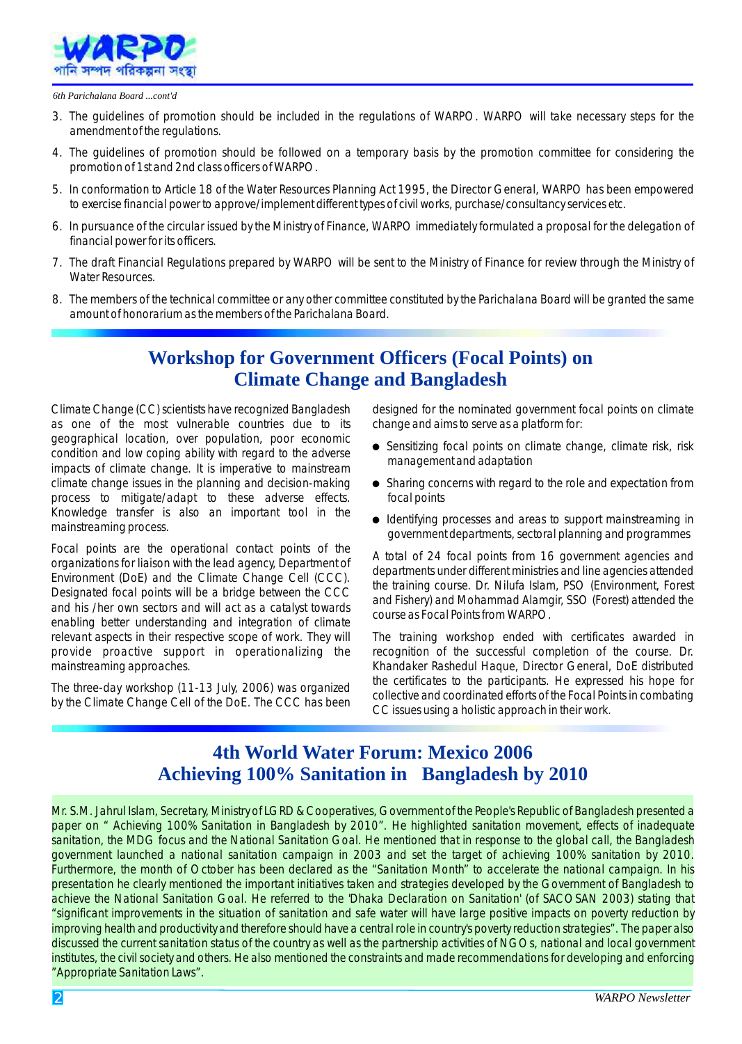

#### *6th Parichalana Board ...cont'd*

- 3. The guidelines of promotion should be included in the regulations of WARPO. WARPO will take necessary steps for the amendment of the regulations.
- 4. The guidelines of promotion should be followed on a temporary basis by the promotion committee for considering the promotion of 1st and 2nd class officers of WARPO.
- 5. In conformation to Article 18 of the Water Resources Planning Act 1995, the Director General, WARPO has been empowered to exercise financial power to approve/implement different types of civil works, purchase/consultancy services etc.
- 6. In pursuance of the circular issued by the Ministry of Finance, WARPO immediately formulated a proposal for the delegation of financial power for its officers.
- 7. The draft Financial Regulations prepared by WARPO will be sent to the Ministry of Finance for review through the Ministry of Water Resources.
- 8. The members of the technical committee or any other committee constituted by the Parichalana Board will be granted the same amount of honorarium as the members of the Parichalana Board.

## **Workshop for Government Officers (Focal Points) on Climate Change and Bangladesh**

Climate Change (CC) scientists have recognized Bangladesh designed for the nominated government focal points on climate as one of the most vulnerable countries due to its change and aims to serve as a platform for: geographical location, over population, poor economic geographical location, over population, poor economic<br>condition and low coping ability with regard to the adverse management and adaptation<br>impacts of climate change. It is imperative to mainstream process to mitigate/adapt to these adverse effects. focal points Knowledge transfer is also an important tool in the

Focal points are the operational contact points of the<br>organizations for liaison with the lead agency, Department of<br>Environment (DoE) and the Climate Change Cell (CCC).<br>Designated focal points will be a bridge between the enabling better understanding and integration of climate

- 
- climate change issues in the planning and decision-making  $\bullet$  Sharing concerns with regard to the role and expectation from
- Nilowiedge transfer is also an important toor in the **e** Identifying processes and areas to support mainstreaming in mainstreaming process.<br>government departments, sectoral planning and programmes

relevant aspects in their respective scope of work. They will The training workshop ended with certificates awarded in provide proactive support in operationalizing the recognition of the successful completion of the course. Dr. mainstreaming approaches. Khandaker Rashedul Haque, Director General, DoE distributed The three-day workshop (11-13 July, 2006) was organized<br>by the Climate Change Cell of the DoE. The CCC has been<br>CC issues using a holistic approach in their work.

## **4th World Water Forum: Mexico 2006 Achieving 100% Sanitation in Bangladesh by 2010**

Mr. S.M. Jahrul Islam, Secretary, Ministry of LGRD & Cooperatives, Government of the People's Republic of Bangladesh presented a paper on " Achieving 100% Sanitation in Bangladesh by 2010". He highlighted sanitation movement, effects of inadequate sanitation, the MDG focus and the National Sanitation Goal. He mentioned that in response to the global call, the Bangladesh government launched a national sanitation campaign in 2003 and set the target of achieving 100% sanitation by 2010. Furthermore, the month of October has been declared as the "Sanitation Month" to accelerate the national campaign. In his presentation he clearly mentioned the important initiatives taken and strategies developed by the Government of Bangladesh to achieve the National Sanitation Goal. He referred to the 'Dhaka Declaration on Sanitation' (of SACOSAN 2003) stating that "significant improvements in the situation of sanitation and safe water will have large positive impacts on poverty reduction by improving health and productivity and therefore should have a central role in country's poverty reduction strategies". The paper also discussed the current sanitation status of the country as well as the partnership activities of NGOs, national and local government institutes, the civil society and others. He also mentioned the constraints and made recommendations for developing and enforcing "Appropriate Sanitation Laws".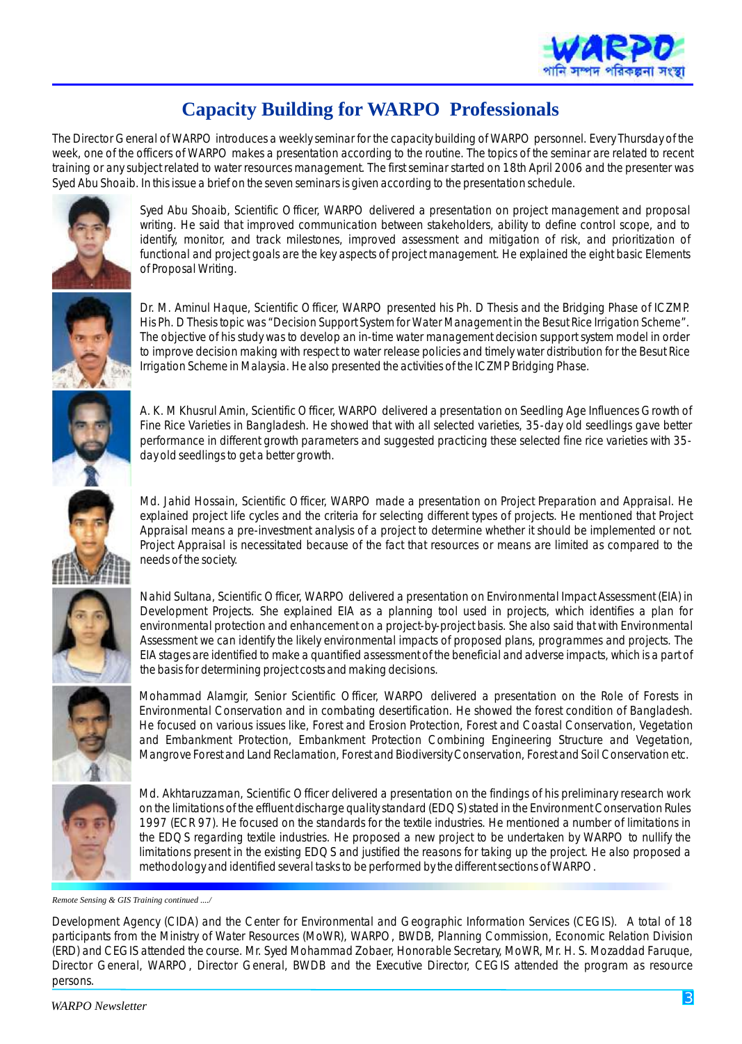

# **Capacity Building for WARPO Professionals**

The Director General of WARPO introduces a weekly seminar for the capacity building of WARPO personnel. Every Thursday of the week, one of the officers of WARPO makes a presentation according to the routine. The topics of the seminar are related to recent training or any subject related to water resources management. The first seminar started on 18th April 2006 and the presenter was Syed Abu Shoaib. In this issue a brief on the seven seminars is given according to the presentation schedule.



Syed Abu Shoaib, Scientific Officer, WARPO delivered a presentation on project management and proposal writing. He said that improved communication between stakeholders, ability to define control scope, and to identify, monitor, and track milestones, improved assessment and mitigation of risk, and prioritization of functional and project goals are the key aspects of project management. He explained the eight basic Elements of Proposal Writing.



Dr. M. Aminul Haque, Scientific Officer, WARPO presented his Ph. D Thesis and the Bridging Phase of ICZMP. His Ph. D Thesis topic was "*Decision Support System for Water Management in the Besut Rice Irrigation Scheme*". The objective of his study was to develop an in-time water management decision support system model in order to improve decision making with respect to water release policies and timely water distribution for the Besut Rice Irrigation Scheme in Malaysia. He also presented the activities of the ICZMP Bridging Phase.

A. K. M Khusrul Amin, Scientific Officer, WARPO delivered a presentation on Seedling Age Influences Growth of Fine Rice Varieties in Bangladesh. He showed that with all selected varieties, 35-day old seedlings gave better performance in different growth parameters and suggested practicing these selected fine rice varieties with 35 day old seedlings to get a better growth.

Md. Jahid Hossain, Scientific Officer, WARPO made a presentation on Project Preparation and Appraisal. He explained project life cycles and the criteria for selecting different types of projects. He mentioned that Project Appraisal means a pre-investment analysis of a project to determine whether it should be implemented or not. Project Appraisal is necessitated because of the fact that resources or means are limited as compared to the needs of the society.



Nahid Sultana, Scientific Officer, WARPO delivered a presentation on Environmental Impact Assessment (EIA) in Development Projects. She explained EIA as a planning tool used in projects, which identifies a plan for environmental protection and enhancement on a project-by-project basis. She also said that with Environmental Assessment we can identify the likely environmental impacts of proposed plans, programmes and projects. The EIA stages are identified to make a quantified assessment of the beneficial and adverse impacts, which is a part of the basis for determining project costs and making decisions.

Mohammad Alamgir, Senior Scientific Officer, WARPO delivered a presentation on the Role of Forests in Environmental Conservation and in combating desertification. He showed the forest condition of Bangladesh. He focused on various issues like, Forest and Erosion Protection, Forest and Coastal Conservation, Vegetation and Embankment Protection, Embankment Protection Combining Engineering Structure and Vegetation, Mangrove Forest and Land Reclamation, Forest and Biodiversity Conservation, Forest and Soil Conservation etc.



Md. Akhtaruzzaman, Scientific Officer delivered a presentation on the findings of his preliminary research work on the limitations of the effluent discharge quality standard (EDQS) stated in the Environment Conservation Rules 1997 (ECR 97). He focused on the standards for the textile industries. He mentioned a number of limitations in the EDQS regarding textile industries. He proposed a new project to be undertaken by WARPO to nullify the limitations present in the existing EDQS and justified the reasons for taking up the project. He also proposed a methodology and identified several tasks to be performed by the different sections of WARPO.

*Remote Sensing & GIS Training continued ..../*

Development Agency (CIDA) and the Center for Environmental and Geographic Information Services (CEGIS). A total of 18 participants from the Ministry of Water Resources (MoWR), WARPO, BWDB, Planning Commission, Economic Relation Division (ERD) and CEGIS attended the course. Mr. Syed Mohammad Zobaer, Honorable Secretary, MoWR, Mr. H. S. Mozaddad Faruque, Director General, WARPO, Director General, BWDB and the Executive Director, CEGIS attended the program as resource persons.